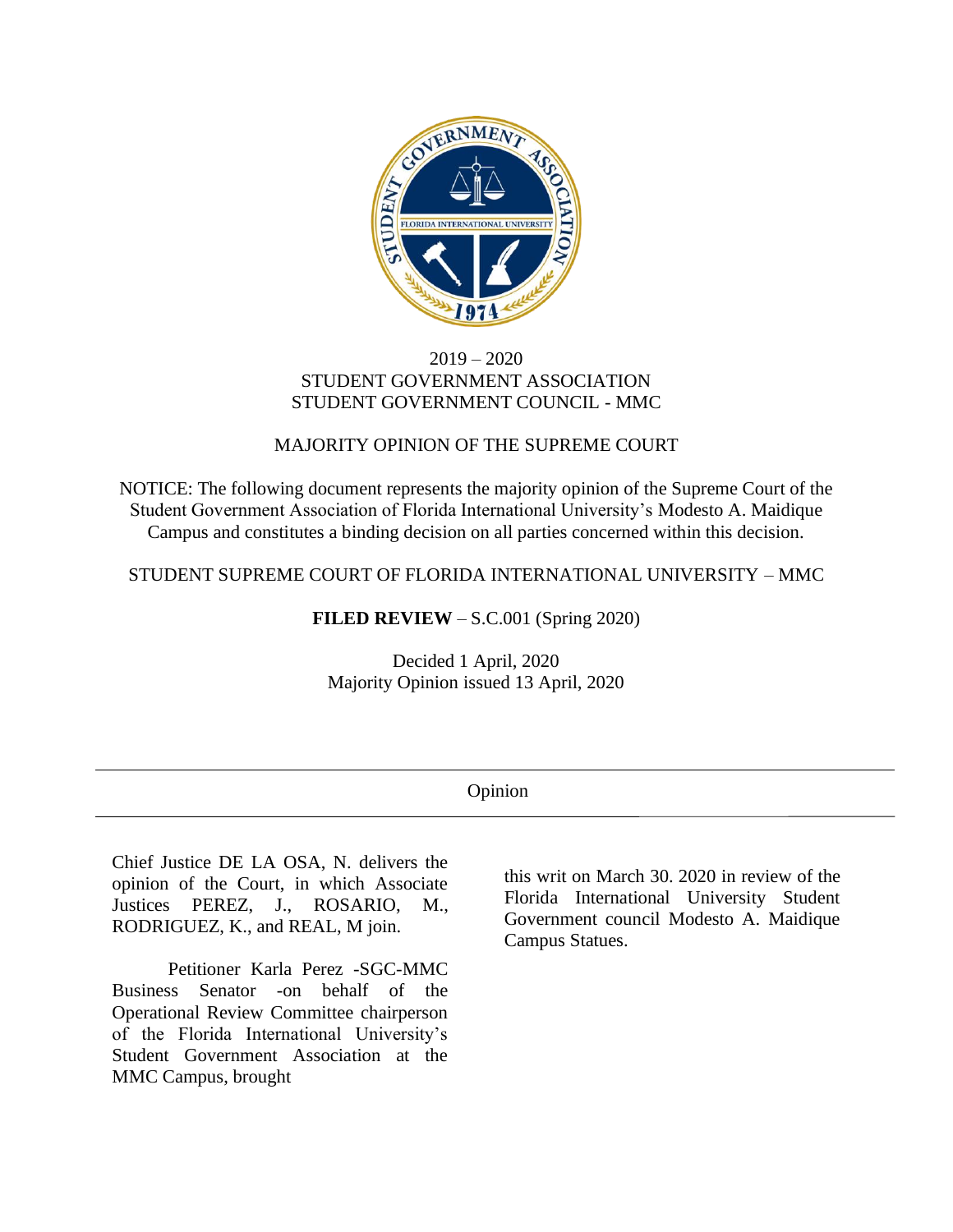

## 2019 – 2020 STUDENT GOVERNMENT ASSOCIATION STUDENT GOVERNMENT COUNCIL - MMC

# MAJORITY OPINION OF THE SUPREME COURT

NOTICE: The following document represents the majority opinion of the Supreme Court of the Student Government Association of Florida International University's Modesto A. Maidique Campus and constitutes a binding decision on all parties concerned within this decision.

STUDENT SUPREME COURT OF FLORIDA INTERNATIONAL UNIVERSITY – MMC

## **FILED REVIEW** – S.C.001 (Spring 2020)

Decided 1 April, 2020 Majority Opinion issued 13 April, 2020

| . <b>.</b> |
|------------|
|------------|

Chief Justice DE LA OSA, N. delivers the opinion of the Court, in which Associate Justices PEREZ, J., ROSARIO, M., RODRIGUEZ, K., and REAL, M join.

Petitioner Karla Perez -SGC-MMC Business Senator -on behalf of the Operational Review Committee chairperson of the Florida International University's Student Government Association at the MMC Campus, brought

this writ on March 30. 2020 in review of the Florida International University Student Government council Modesto A. Maidique Campus Statues.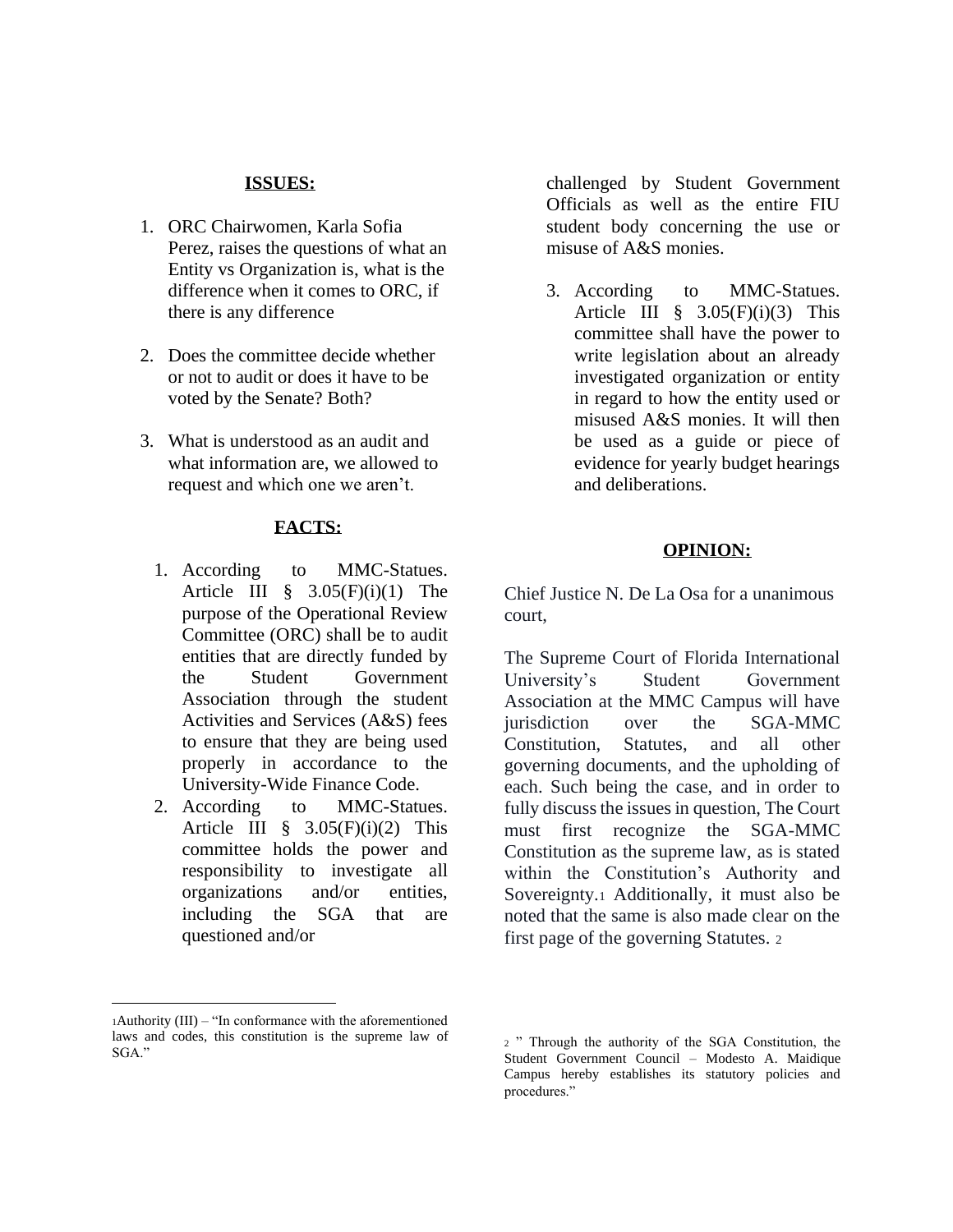#### **ISSUES:**

- 1. ORC Chairwomen, Karla Sofia Perez, raises the questions of what an Entity vs Organization is, what is the difference when it comes to ORC, if there is any difference
- 2. Does the committee decide whether or not to audit or does it have to be voted by the Senate? Both?
- 3. What is understood as an audit and what information are, we allowed to request and which one we aren't.

#### **FACTS:**

- 1. According to MMC-Statues. Article III  $\hat{\S}$  3.05(F)(i)(1) The purpose of the Operational Review Committee (ORC) shall be to audit entities that are directly funded by the Student Government Association through the student Activities and Services (A&S) fees to ensure that they are being used properly in accordance to the University-Wide Finance Code.
- 2. According to MMC-Statues. Article III  $\frac{8}{9}$  3.05(F)(i)(2) This committee holds the power and responsibility to investigate all organizations and/or entities, including the SGA that are questioned and/or

challenged by Student Government Officials as well as the entire FIU student body concerning the use or misuse of A&S monies.

3. According to MMC-Statues. Article III  $\hat{\S}$  3.05(F)(i)(3) This committee shall have the power to write legislation about an already investigated organization or entity in regard to how the entity used or misused A&S monies. It will then be used as a guide or piece of evidence for yearly budget hearings and deliberations.

### **OPINION:**

Chief Justice N. De La Osa for a unanimous court,

The Supreme Court of Florida International University's Student Government Association at the MMC Campus will have jurisdiction over the SGA-MMC Constitution, Statutes, and all other governing documents, and the upholding of each. Such being the case, and in order to fully discuss the issues in question, The Court must first recognize the SGA-MMC Constitution as the supreme law, as is stated within the Constitution's Authority and Sovereignty.<sup>1</sup> Additionally, it must also be noted that the same is also made clear on the first page of the governing Statutes. <sup>2</sup>

<sup>1</sup>Authority (III) – "In conformance with the aforementioned laws and codes, this constitution is the supreme law of SGA."

<sup>2</sup> " Through the authority of the SGA Constitution, the Student Government Council – Modesto A. Maidique Campus hereby establishes its statutory policies and procedures."